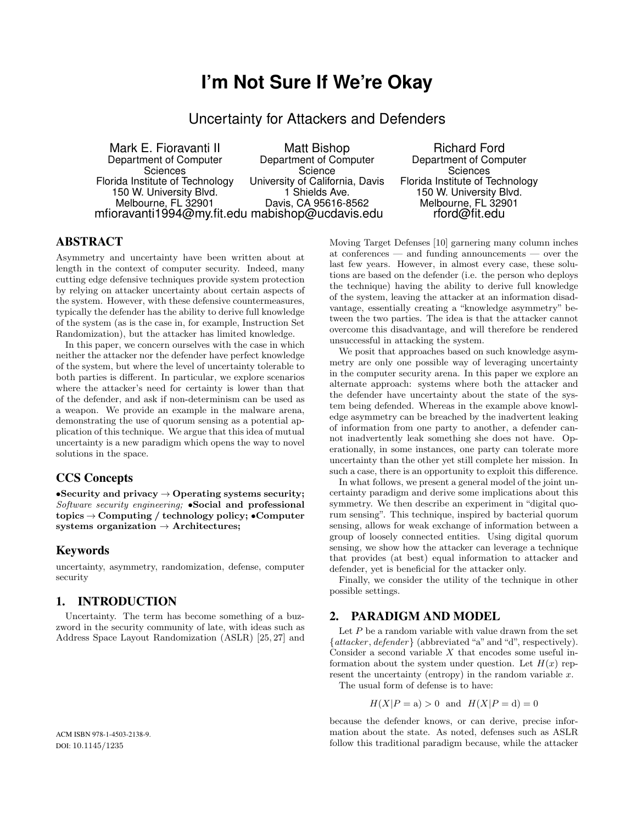# **I'm Not Sure If We're Okay**

Uncertainty for Attackers and Defenders

Mark E. Fioravanti II Department of Computer **Sciences** Florida Institute of Technology 150 W. University Blvd. Melbourne, FL 32901 mfioravanti1994@my.fit.edu mabishop@ucdavis.edu Matt Bishop Department of Computer **Science** University of California, Davis 1 Shields Ave. Davis, CA 95616-8562

Richard Ford Department of Computer **Sciences** Florida Institute of Technology 150 W. University Blvd. Melbourne, FL 32901 rford@fit.edu

## ABSTRACT

Asymmetry and uncertainty have been written about at length in the context of computer security. Indeed, many cutting edge defensive techniques provide system protection by relying on attacker uncertainty about certain aspects of the system. However, with these defensive countermeasures, typically the defender has the ability to derive full knowledge of the system (as is the case in, for example, Instruction Set Randomization), but the attacker has limited knowledge.

In this paper, we concern ourselves with the case in which neither the attacker nor the defender have perfect knowledge of the system, but where the level of uncertainty tolerable to both parties is different. In particular, we explore scenarios where the attacker's need for certainty is lower than that of the defender, and ask if non-determinism can be used as a weapon. We provide an example in the malware arena, demonstrating the use of quorum sensing as a potential application of this technique. We argue that this idea of mutual uncertainty is a new paradigm which opens the way to novel solutions in the space.

### CCS Concepts

•Security and privacy  $\rightarrow$  Operating systems security; Software security engineering; •Social and professional topics  $\rightarrow$  Computing / technology policy;  $\bullet$  Computer systems organization  $\rightarrow$  Architectures;

#### Keywords

uncertainty, asymmetry, randomization, defense, computer security

#### 1. INTRODUCTION

Uncertainty. The term has become something of a buzzword in the security community of late, with ideas such as Address Space Layout Randomization (ASLR) [25, 27] and

ACM ISBN 978-1-4503-2138-9. DOI: 10.1145/1235

Moving Target Defenses [10] garnering many column inches at conferences — and funding announcements — over the last few years. However, in almost every case, these solutions are based on the defender (i.e. the person who deploys the technique) having the ability to derive full knowledge of the system, leaving the attacker at an information disadvantage, essentially creating a "knowledge asymmetry" between the two parties. The idea is that the attacker cannot overcome this disadvantage, and will therefore be rendered unsuccessful in attacking the system.

We posit that approaches based on such knowledge asymmetry are only one possible way of leveraging uncertainty in the computer security arena. In this paper we explore an alternate approach: systems where both the attacker and the defender have uncertainty about the state of the system being defended. Whereas in the example above knowledge asymmetry can be breached by the inadvertent leaking of information from one party to another, a defender cannot inadvertently leak something she does not have. Operationally, in some instances, one party can tolerate more uncertainty than the other yet still complete her mission. In such a case, there is an opportunity to exploit this difference.

In what follows, we present a general model of the joint uncertainty paradigm and derive some implications about this symmetry. We then describe an experiment in "digital quorum sensing". This technique, inspired by bacterial quorum sensing, allows for weak exchange of information between a group of loosely connected entities. Using digital quorum sensing, we show how the attacker can leverage a technique that provides (at best) equal information to attacker and defender, yet is beneficial for the attacker only.

Finally, we consider the utility of the technique in other possible settings.

#### 2. PARADIGM AND MODEL

Let  $P$  be a random variable with value drawn from the set {attacker , defender} (abbreviated "a" and "d", respectively). Consider a second variable  $X$  that encodes some useful information about the system under question. Let  $H(x)$  represent the uncertainty (entropy) in the random variable  $x$ .

The usual form of defense is to have:

 $H(X|P = a) > 0$  and  $H(X|P = d) = 0$ 

because the defender knows, or can derive, precise information about the state. As noted, defenses such as ASLR follow this traditional paradigm because, while the attacker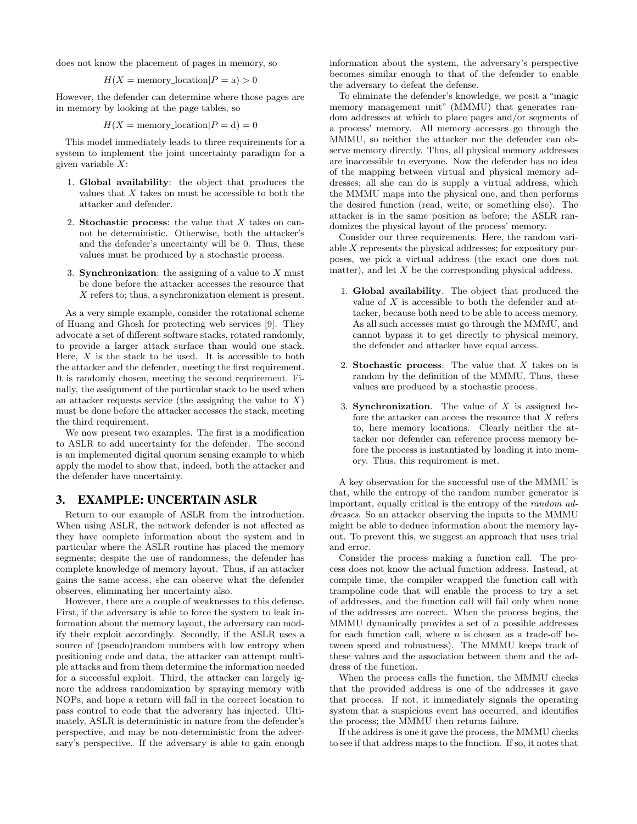does not know the placement of pages in memory, so

$$
H(X = \text{memory\_location} | P = a) > 0
$$

However, the defender can determine where those pages are in memory by looking at the page tables, so

$$
H(X = \text{memory\_location} | P = d) = 0
$$

This model immediately leads to three requirements for a system to implement the joint uncertainty paradigm for a given variable X:

- 1. Global availability: the object that produces the values that  $X$  takes on must be accessible to both the attacker and defender.
- 2. Stochastic process: the value that  $X$  takes on cannot be deterministic. Otherwise, both the attacker's and the defender's uncertainty will be 0. Thus, these values must be produced by a stochastic process.
- 3. **Synchronization:** the assigning of a value to  $X$  must be done before the attacker accesses the resource that  $X$  refers to; thus, a synchronization element is present.

As a very simple example, consider the rotational scheme of Huang and Ghosh for protecting web services [9]. They advocate a set of different software stacks, rotated randomly, to provide a larger attack surface than would one stack. Here,  $X$  is the stack to be used. It is accessible to both the attacker and the defender, meeting the first requirement. It is randomly chosen, meeting the second requirement. Finally, the assignment of the particular stack to be used when an attacker requests service (the assigning the value to  $X$ ) must be done before the attacker accesses the stack, meeting the third requirement.

We now present two examples. The first is a modification to ASLR to add uncertainty for the defender. The second is an implemented digital quorum sensing example to which apply the model to show that, indeed, both the attacker and the defender have uncertainty.

#### 3. EXAMPLE: UNCERTAIN ASLR

Return to our example of ASLR from the introduction. When using ASLR, the network defender is not affected as they have complete information about the system and in particular where the ASLR routine has placed the memory segments; despite the use of randomness, the defender has complete knowledge of memory layout. Thus, if an attacker gains the same access, she can observe what the defender observes, eliminating her uncertainty also.

However, there are a couple of weaknesses to this defense. First, if the adversary is able to force the system to leak information about the memory layout, the adversary can modify their exploit accordingly. Secondly, if the ASLR uses a source of (pseudo)random numbers with low entropy when positioning code and data, the attacker can attempt multiple attacks and from them determine the information needed for a successful exploit. Third, the attacker can largely ignore the address randomization by spraying memory with NOPs, and hope a return will fall in the correct location to pass control to code that the adversary has injected. Ultimately, ASLR is deterministic in nature from the defender's perspective, and may be non-deterministic from the adversary's perspective. If the adversary is able to gain enough

information about the system, the adversary's perspective becomes similar enough to that of the defender to enable the adversary to defeat the defense.

To eliminate the defender's knowledge, we posit a "magic memory management unit" (MMMU) that generates random addresses at which to place pages and/or segments of a process' memory. All memory accesses go through the MMMU, so neither the attacker nor the defender can observe memory directly. Thus, all physical memory addresses are inaccessible to everyone. Now the defender has no idea of the mapping between virtual and physical memory addresses; all she can do is supply a virtual address, which the MMMU maps into the physical one, and then performs the desired function (read, write, or something else). The attacker is in the same position as before; the ASLR randomizes the physical layout of the process' memory.

Consider our three requirements. Here, the random variable X represents the physical addresses; for expository purposes, we pick a virtual address (the exact one does not matter), and let  $X$  be the corresponding physical address.

- 1. Global availability. The object that produced the value of  $X$  is accessible to both the defender and attacker, because both need to be able to access memory. As all such accesses must go through the MMMU, and cannot bypass it to get directly to physical memory, the defender and attacker have equal access.
- 2. Stochastic process. The value that  $X$  takes on is random by the definition of the MMMU. Thus, these values are produced by a stochastic process.
- 3. **Synchronization.** The value of  $X$  is assigned before the attacker can access the resource that  $X$  refers to, here memory locations. Clearly neither the attacker nor defender can reference process memory before the process is instantiated by loading it into memory. Thus, this requirement is met.

A key observation for the successful use of the MMMU is that, while the entropy of the random number generator is important, equally critical is the entropy of the random addresses. So an attacker observing the inputs to the MMMU might be able to deduce information about the memory layout. To prevent this, we suggest an approach that uses trial and error.

Consider the process making a function call. The process does not know the actual function address. Instead, at compile time, the compiler wrapped the function call with trampoline code that will enable the process to try a set of addresses, and the function call will fail only when none of the addresses are correct. When the process begins, the MMMU dynamically provides a set of n possible addresses for each function call, where  $n$  is chosen as a trade-off between speed and robustness). The MMMU keeps track of these values and the association between them and the address of the function.

When the process calls the function, the MMMU checks that the provided address is one of the addresses it gave that process. If not, it immediately signals the operating system that a suspicious event has occurred, and identifies the process; the MMMU then returns failure.

If the address is one it gave the process, the MMMU checks to see if that address maps to the function. If so, it notes that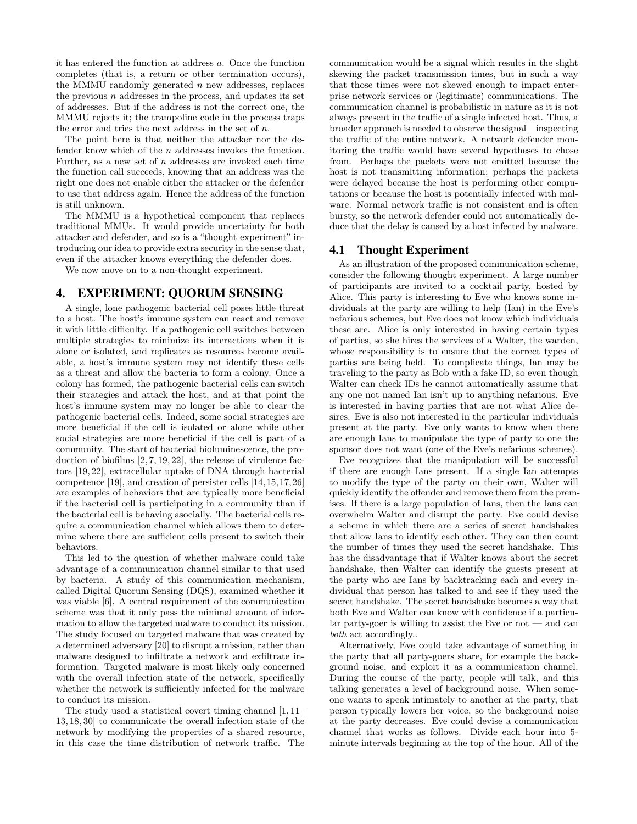it has entered the function at address a. Once the function completes (that is, a return or other termination occurs), the MMMU randomly generated  $n$  new addresses, replaces the previous  $n$  addresses in the process, and updates its set of addresses. But if the address is not the correct one, the MMMU rejects it; the trampoline code in the process traps the error and tries the next address in the set of n.

The point here is that neither the attacker nor the defender know which of the n addresses invokes the function. Further, as a new set of  $n$  addresses are invoked each time the function call succeeds, knowing that an address was the right one does not enable either the attacker or the defender to use that address again. Hence the address of the function is still unknown.

The MMMU is a hypothetical component that replaces traditional MMUs. It would provide uncertainty for both attacker and defender, and so is a "thought experiment" introducing our idea to provide extra security in the sense that, even if the attacker knows everything the defender does.

We now move on to a non-thought experiment.

#### 4. EXPERIMENT: QUORUM SENSING

A single, lone pathogenic bacterial cell poses little threat to a host. The host's immune system can react and remove it with little difficulty. If a pathogenic cell switches between multiple strategies to minimize its interactions when it is alone or isolated, and replicates as resources become available, a host's immune system may not identify these cells as a threat and allow the bacteria to form a colony. Once a colony has formed, the pathogenic bacterial cells can switch their strategies and attack the host, and at that point the host's immune system may no longer be able to clear the pathogenic bacterial cells. Indeed, some social strategies are more beneficial if the cell is isolated or alone while other social strategies are more beneficial if the cell is part of a community. The start of bacterial bioluminescence, the production of biofilms [2, 7, 19, 22], the release of virulence factors [19, 22], extracellular uptake of DNA through bacterial competence [19], and creation of persister cells [14,15,17,26] are examples of behaviors that are typically more beneficial if the bacterial cell is participating in a community than if the bacterial cell is behaving asocially. The bacterial cells require a communication channel which allows them to determine where there are sufficient cells present to switch their behaviors.

This led to the question of whether malware could take advantage of a communication channel similar to that used by bacteria. A study of this communication mechanism, called Digital Quorum Sensing (DQS), examined whether it was viable [6]. A central requirement of the communication scheme was that it only pass the minimal amount of information to allow the targeted malware to conduct its mission. The study focused on targeted malware that was created by a determined adversary [20] to disrupt a mission, rather than malware designed to infiltrate a network and exfiltrate information. Targeted malware is most likely only concerned with the overall infection state of the network, specifically whether the network is sufficiently infected for the malware to conduct its mission.

The study used a statistical covert timing channel [1, 11– 13, 18, 30] to communicate the overall infection state of the network by modifying the properties of a shared resource, in this case the time distribution of network traffic. The communication would be a signal which results in the slight skewing the packet transmission times, but in such a way that those times were not skewed enough to impact enterprise network services or (legitimate) communications. The communication channel is probabilistic in nature as it is not always present in the traffic of a single infected host. Thus, a broader approach is needed to observe the signal—inspecting the traffic of the entire network. A network defender monitoring the traffic would have several hypotheses to chose from. Perhaps the packets were not emitted because the host is not transmitting information; perhaps the packets were delayed because the host is performing other computations or because the host is potentially infected with malware. Normal network traffic is not consistent and is often bursty, so the network defender could not automatically deduce that the delay is caused by a host infected by malware.

#### 4.1 Thought Experiment

As an illustration of the proposed communication scheme, consider the following thought experiment. A large number of participants are invited to a cocktail party, hosted by Alice. This party is interesting to Eve who knows some individuals at the party are willing to help (Ian) in the Eve's nefarious schemes, but Eve does not know which individuals these are. Alice is only interested in having certain types of parties, so she hires the services of a Walter, the warden, whose responsibility is to ensure that the correct types of parties are being held. To complicate things, Ian may be traveling to the party as Bob with a fake ID, so even though Walter can check IDs he cannot automatically assume that any one not named Ian isn't up to anything nefarious. Eve is interested in having parties that are not what Alice desires. Eve is also not interested in the particular individuals present at the party. Eve only wants to know when there are enough Ians to manipulate the type of party to one the sponsor does not want (one of the Eve's nefarious schemes).

Eve recognizes that the manipulation will be successful if there are enough Ians present. If a single Ian attempts to modify the type of the party on their own, Walter will quickly identify the offender and remove them from the premises. If there is a large population of Ians, then the Ians can overwhelm Walter and disrupt the party. Eve could devise a scheme in which there are a series of secret handshakes that allow Ians to identify each other. They can then count the number of times they used the secret handshake. This has the disadvantage that if Walter knows about the secret handshake, then Walter can identify the guests present at the party who are Ians by backtracking each and every individual that person has talked to and see if they used the secret handshake. The secret handshake becomes a way that both Eve and Walter can know with confidence if a particular party-goer is willing to assist the Eve or  $not$  — and can both act accordingly..

Alternatively, Eve could take advantage of something in the party that all party-goers share, for example the background noise, and exploit it as a communication channel. During the course of the party, people will talk, and this talking generates a level of background noise. When someone wants to speak intimately to another at the party, that person typically lowers her voice, so the background noise at the party decreases. Eve could devise a communication channel that works as follows. Divide each hour into 5 minute intervals beginning at the top of the hour. All of the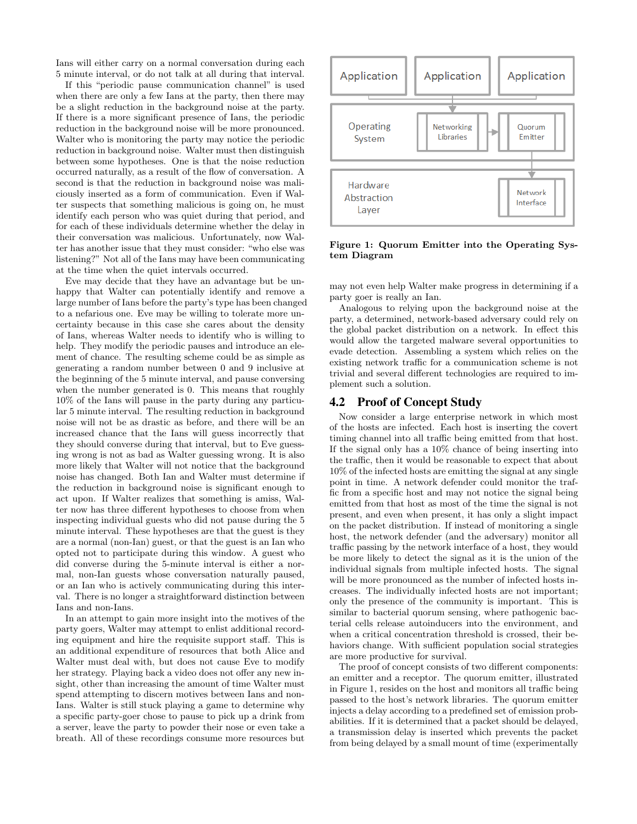Ians will either carry on a normal conversation during each 5 minute interval, or do not talk at all during that interval.

If this "periodic pause communication channel" is used when there are only a few Ians at the party, then there may be a slight reduction in the background noise at the party. If there is a more significant presence of Ians, the periodic reduction in the background noise will be more pronounced. Walter who is monitoring the party may notice the periodic reduction in background noise. Walter must then distinguish between some hypotheses. One is that the noise reduction occurred naturally, as a result of the flow of conversation. A second is that the reduction in background noise was maliciously inserted as a form of communication. Even if Walter suspects that something malicious is going on, he must identify each person who was quiet during that period, and for each of these individuals determine whether the delay in their conversation was malicious. Unfortunately, now Walter has another issue that they must consider: "who else was listening?" Not all of the Ians may have been communicating at the time when the quiet intervals occurred.

Eve may decide that they have an advantage but be unhappy that Walter can potentially identify and remove a large number of Ians before the party's type has been changed to a nefarious one. Eve may be willing to tolerate more uncertainty because in this case she cares about the density of Ians, whereas Walter needs to identify who is willing to help. They modify the periodic pauses and introduce an element of chance. The resulting scheme could be as simple as generating a random number between 0 and 9 inclusive at the beginning of the 5 minute interval, and pause conversing when the number generated is 0. This means that roughly 10% of the Ians will pause in the party during any particular 5 minute interval. The resulting reduction in background noise will not be as drastic as before, and there will be an increased chance that the Ians will guess incorrectly that they should converse during that interval, but to Eve guessing wrong is not as bad as Walter guessing wrong. It is also more likely that Walter will not notice that the background noise has changed. Both Ian and Walter must determine if the reduction in background noise is significant enough to act upon. If Walter realizes that something is amiss, Walter now has three different hypotheses to choose from when inspecting individual guests who did not pause during the 5 minute interval. These hypotheses are that the guest is they are a normal (non-Ian) guest, or that the guest is an Ian who opted not to participate during this window. A guest who did converse during the 5-minute interval is either a normal, non-Ian guests whose conversation naturally paused, or an Ian who is actively communicating during this interval. There is no longer a straightforward distinction between Ians and non-Ians.

In an attempt to gain more insight into the motives of the party goers, Walter may attempt to enlist additional recording equipment and hire the requisite support staff. This is an additional expenditure of resources that both Alice and Walter must deal with, but does not cause Eve to modify her strategy. Playing back a video does not offer any new insight, other than increasing the amount of time Walter must spend attempting to discern motives between Ians and non-Ians. Walter is still stuck playing a game to determine why a specific party-goer chose to pause to pick up a drink from a server, leave the party to powder their nose or even take a breath. All of these recordings consume more resources but



Figure 1: Quorum Emitter into the Operating System Diagram

may not even help Walter make progress in determining if a party goer is really an Ian.

Analogous to relying upon the background noise at the party, a determined, network-based adversary could rely on the global packet distribution on a network. In effect this would allow the targeted malware several opportunities to evade detection. Assembling a system which relies on the existing network traffic for a communication scheme is not trivial and several different technologies are required to implement such a solution.

#### 4.2 Proof of Concept Study

Now consider a large enterprise network in which most of the hosts are infected. Each host is inserting the covert timing channel into all traffic being emitted from that host. If the signal only has a 10% chance of being inserting into the traffic, then it would be reasonable to expect that about 10% of the infected hosts are emitting the signal at any single point in time. A network defender could monitor the traffic from a specific host and may not notice the signal being emitted from that host as most of the time the signal is not present, and even when present, it has only a slight impact on the packet distribution. If instead of monitoring a single host, the network defender (and the adversary) monitor all traffic passing by the network interface of a host, they would be more likely to detect the signal as it is the union of the individual signals from multiple infected hosts. The signal will be more pronounced as the number of infected hosts increases. The individually infected hosts are not important; only the presence of the community is important. This is similar to bacterial quorum sensing, where pathogenic bacterial cells release autoinducers into the environment, and when a critical concentration threshold is crossed, their behaviors change. With sufficient population social strategies are more productive for survival.

The proof of concept consists of two different components: an emitter and a receptor. The quorum emitter, illustrated in Figure 1, resides on the host and monitors all traffic being passed to the host's network libraries. The quorum emitter injects a delay according to a predefined set of emission probabilities. If it is determined that a packet should be delayed, a transmission delay is inserted which prevents the packet from being delayed by a small mount of time (experimentally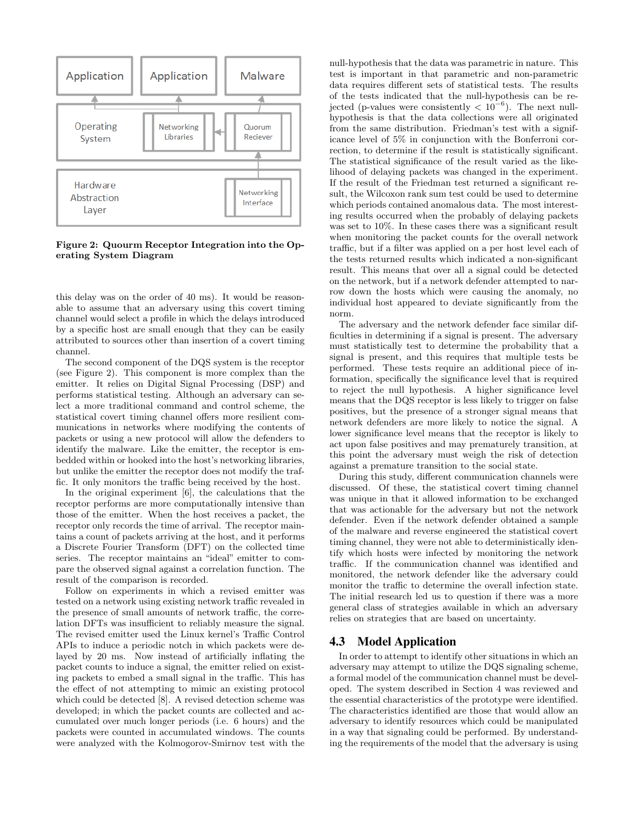

Figure 2: Quourm Receptor Integration into the Operating System Diagram

this delay was on the order of 40 ms). It would be reasonable to assume that an adversary using this covert timing channel would select a profile in which the delays introduced by a specific host are small enough that they can be easily attributed to sources other than insertion of a covert timing channel.

The second component of the DQS system is the receptor (see Figure 2). This component is more complex than the emitter. It relies on Digital Signal Processing (DSP) and performs statistical testing. Although an adversary can select a more traditional command and control scheme, the statistical covert timing channel offers more resilient communications in networks where modifying the contents of packets or using a new protocol will allow the defenders to identify the malware. Like the emitter, the receptor is embedded within or hooked into the host's networking libraries, but unlike the emitter the receptor does not modify the traffic. It only monitors the traffic being received by the host.

In the original experiment [6], the calculations that the receptor performs are more computationally intensive than those of the emitter. When the host receives a packet, the receptor only records the time of arrival. The receptor maintains a count of packets arriving at the host, and it performs a Discrete Fourier Transform (DFT) on the collected time series. The receptor maintains an "ideal" emitter to compare the observed signal against a correlation function. The result of the comparison is recorded.

Follow on experiments in which a revised emitter was tested on a network using existing network traffic revealed in the presence of small amounts of network traffic, the correlation DFTs was insufficient to reliably measure the signal. The revised emitter used the Linux kernel's Traffic Control APIs to induce a periodic notch in which packets were delayed by 20 ms. Now instead of artificially inflating the packet counts to induce a signal, the emitter relied on existing packets to embed a small signal in the traffic. This has the effect of not attempting to mimic an existing protocol which could be detected [8]. A revised detection scheme was developed; in which the packet counts are collected and accumulated over much longer periods (i.e. 6 hours) and the packets were counted in accumulated windows. The counts were analyzed with the Kolmogorov-Smirnov test with the null-hypothesis that the data was parametric in nature. This test is important in that parametric and non-parametric data requires different sets of statistical tests. The results of the tests indicated that the null-hypothesis can be rejected (p-values were consistently  $\langle 10^{-6} \rangle$ ). The next nullhypothesis is that the data collections were all originated from the same distribution. Friedman's test with a significance level of 5% in conjunction with the Bonferroni correction, to determine if the result is statistically significant. The statistical significance of the result varied as the likelihood of delaying packets was changed in the experiment. If the result of the Friedman test returned a significant result, the Wilcoxon rank sum test could be used to determine which periods contained anomalous data. The most interesting results occurred when the probably of delaying packets was set to 10%. In these cases there was a significant result when monitoring the packet counts for the overall network traffic, but if a filter was applied on a per host level each of the tests returned results which indicated a non-significant result. This means that over all a signal could be detected on the network, but if a network defender attempted to narrow down the hosts which were causing the anomaly, no individual host appeared to deviate significantly from the norm.

The adversary and the network defender face similar difficulties in determining if a signal is present. The adversary must statistically test to determine the probability that a signal is present, and this requires that multiple tests be performed. These tests require an additional piece of information, specifically the significance level that is required to reject the null hypothesis. A higher significance level means that the DQS receptor is less likely to trigger on false positives, but the presence of a stronger signal means that network defenders are more likely to notice the signal. A lower significance level means that the receptor is likely to act upon false positives and may prematurely transition, at this point the adversary must weigh the risk of detection against a premature transition to the social state.

During this study, different communication channels were discussed. Of these, the statistical covert timing channel was unique in that it allowed information to be exchanged that was actionable for the adversary but not the network defender. Even if the network defender obtained a sample of the malware and reverse engineered the statistical covert timing channel, they were not able to deterministically identify which hosts were infected by monitoring the network traffic. If the communication channel was identified and monitored, the network defender like the adversary could monitor the traffic to determine the overall infection state. The initial research led us to question if there was a more general class of strategies available in which an adversary relies on strategies that are based on uncertainty.

#### 4.3 Model Application

In order to attempt to identify other situations in which an adversary may attempt to utilize the DQS signaling scheme, a formal model of the communication channel must be developed. The system described in Section 4 was reviewed and the essential characteristics of the prototype were identified. The characteristics identified are those that would allow an adversary to identify resources which could be manipulated in a way that signaling could be performed. By understanding the requirements of the model that the adversary is using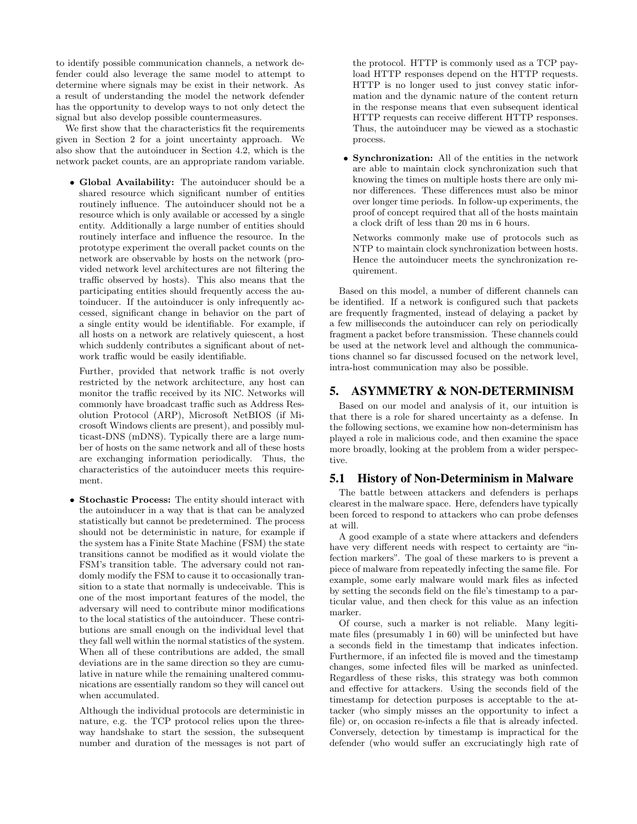to identify possible communication channels, a network defender could also leverage the same model to attempt to determine where signals may be exist in their network. As a result of understanding the model the network defender has the opportunity to develop ways to not only detect the signal but also develop possible countermeasures.

We first show that the characteristics fit the requirements given in Section 2 for a joint uncertainty approach. We also show that the autoinducer in Section 4.2, which is the network packet counts, are an appropriate random variable.

• Global Availability: The autoinducer should be a shared resource which significant number of entities routinely influence. The autoinducer should not be a resource which is only available or accessed by a single entity. Additionally a large number of entities should routinely interface and influence the resource. In the prototype experiment the overall packet counts on the network are observable by hosts on the network (provided network level architectures are not filtering the traffic observed by hosts). This also means that the participating entities should frequently access the autoinducer. If the autoinducer is only infrequently accessed, significant change in behavior on the part of a single entity would be identifiable. For example, if all hosts on a network are relatively quiescent, a host which suddenly contributes a significant about of network traffic would be easily identifiable.

Further, provided that network traffic is not overly restricted by the network architecture, any host can monitor the traffic received by its NIC. Networks will commonly have broadcast traffic such as Address Resolution Protocol (ARP), Microsoft NetBIOS (if Microsoft Windows clients are present), and possibly multicast-DNS (mDNS). Typically there are a large number of hosts on the same network and all of these hosts are exchanging information periodically. Thus, the characteristics of the autoinducer meets this requirement.

• Stochastic Process: The entity should interact with the autoinducer in a way that is that can be analyzed statistically but cannot be predetermined. The process should not be deterministic in nature, for example if the system has a Finite State Machine (FSM) the state transitions cannot be modified as it would violate the FSM's transition table. The adversary could not randomly modify the FSM to cause it to occasionally transition to a state that normally is undeceivable. This is one of the most important features of the model, the adversary will need to contribute minor modifications to the local statistics of the autoinducer. These contributions are small enough on the individual level that they fall well within the normal statistics of the system. When all of these contributions are added, the small deviations are in the same direction so they are cumulative in nature while the remaining unaltered communications are essentially random so they will cancel out when accumulated.

Although the individual protocols are deterministic in nature, e.g. the TCP protocol relies upon the threeway handshake to start the session, the subsequent number and duration of the messages is not part of the protocol. HTTP is commonly used as a TCP payload HTTP responses depend on the HTTP requests. HTTP is no longer used to just convey static information and the dynamic nature of the content return in the response means that even subsequent identical HTTP requests can receive different HTTP responses. Thus, the autoinducer may be viewed as a stochastic process.

• Synchronization: All of the entities in the network are able to maintain clock synchronization such that knowing the times on multiple hosts there are only minor differences. These differences must also be minor over longer time periods. In follow-up experiments, the proof of concept required that all of the hosts maintain a clock drift of less than 20 ms in 6 hours.

Networks commonly make use of protocols such as NTP to maintain clock synchronization between hosts. Hence the autoinducer meets the synchronization requirement.

Based on this model, a number of different channels can be identified. If a network is configured such that packets are frequently fragmented, instead of delaying a packet by a few milliseconds the autoinducer can rely on periodically fragment a packet before transmission. These channels could be used at the network level and although the communications channel so far discussed focused on the network level, intra-host communication may also be possible.

### 5. ASYMMETRY & NON-DETERMINISM

Based on our model and analysis of it, our intuition is that there is a role for shared uncertainty as a defense. In the following sections, we examine how non-determinism has played a role in malicious code, and then examine the space more broadly, looking at the problem from a wider perspective.

#### 5.1 History of Non-Determinism in Malware

The battle between attackers and defenders is perhaps clearest in the malware space. Here, defenders have typically been forced to respond to attackers who can probe defenses at will.

A good example of a state where attackers and defenders have very different needs with respect to certainty are "infection markers". The goal of these markers to is prevent a piece of malware from repeatedly infecting the same file. For example, some early malware would mark files as infected by setting the seconds field on the file's timestamp to a particular value, and then check for this value as an infection marker.

Of course, such a marker is not reliable. Many legitimate files (presumably 1 in 60) will be uninfected but have a seconds field in the timestamp that indicates infection. Furthermore, if an infected file is moved and the timestamp changes, some infected files will be marked as uninfected. Regardless of these risks, this strategy was both common and effective for attackers. Using the seconds field of the timestamp for detection purposes is acceptable to the attacker (who simply misses an the opportunity to infect a file) or, on occasion re-infects a file that is already infected. Conversely, detection by timestamp is impractical for the defender (who would suffer an excruciatingly high rate of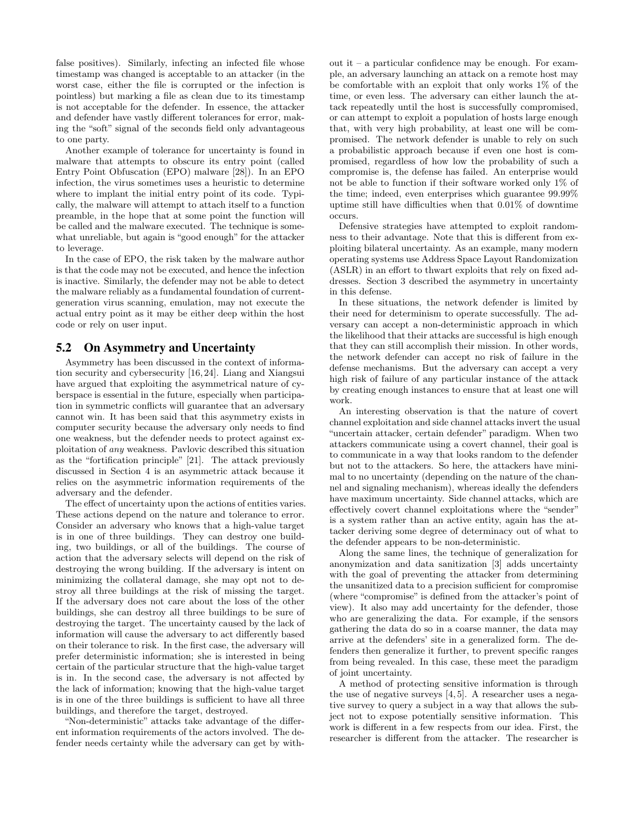false positives). Similarly, infecting an infected file whose timestamp was changed is acceptable to an attacker (in the worst case, either the file is corrupted or the infection is pointless) but marking a file as clean due to its timestamp is not acceptable for the defender. In essence, the attacker and defender have vastly different tolerances for error, making the "soft" signal of the seconds field only advantageous to one party.

Another example of tolerance for uncertainty is found in malware that attempts to obscure its entry point (called Entry Point Obfuscation (EPO) malware [28]). In an EPO infection, the virus sometimes uses a heuristic to determine where to implant the initial entry point of its code. Typically, the malware will attempt to attach itself to a function preamble, in the hope that at some point the function will be called and the malware executed. The technique is somewhat unreliable, but again is "good enough" for the attacker to leverage.

In the case of EPO, the risk taken by the malware author is that the code may not be executed, and hence the infection is inactive. Similarly, the defender may not be able to detect the malware reliably as a fundamental foundation of currentgeneration virus scanning, emulation, may not execute the actual entry point as it may be either deep within the host code or rely on user input.

#### 5.2 On Asymmetry and Uncertainty

Asymmetry has been discussed in the context of information security and cybersecurity [16, 24]. Liang and Xiangsui have argued that exploiting the asymmetrical nature of cyberspace is essential in the future, especially when participation in symmetric conflicts will guarantee that an adversary cannot win. It has been said that this asymmetry exists in computer security because the adversary only needs to find one weakness, but the defender needs to protect against exploitation of any weakness. Pavlovic described this situation as the "fortification principle" [21]. The attack previously discussed in Section 4 is an asymmetric attack because it relies on the asymmetric information requirements of the adversary and the defender.

The effect of uncertainty upon the actions of entities varies. These actions depend on the nature and tolerance to error. Consider an adversary who knows that a high-value target is in one of three buildings. They can destroy one building, two buildings, or all of the buildings. The course of action that the adversary selects will depend on the risk of destroying the wrong building. If the adversary is intent on minimizing the collateral damage, she may opt not to destroy all three buildings at the risk of missing the target. If the adversary does not care about the loss of the other buildings, she can destroy all three buildings to be sure of destroying the target. The uncertainty caused by the lack of information will cause the adversary to act differently based on their tolerance to risk. In the first case, the adversary will prefer deterministic information; she is interested in being certain of the particular structure that the high-value target is in. In the second case, the adversary is not affected by the lack of information; knowing that the high-value target is in one of the three buildings is sufficient to have all three buildings, and therefore the target, destroyed.

"Non-deterministic" attacks take advantage of the different information requirements of the actors involved. The defender needs certainty while the adversary can get by without it – a particular confidence may be enough. For example, an adversary launching an attack on a remote host may be comfortable with an exploit that only works 1% of the time, or even less. The adversary can either launch the attack repeatedly until the host is successfully compromised, or can attempt to exploit a population of hosts large enough that, with very high probability, at least one will be compromised. The network defender is unable to rely on such a probabilistic approach because if even one host is compromised, regardless of how low the probability of such a compromise is, the defense has failed. An enterprise would not be able to function if their software worked only 1% of the time; indeed, even enterprises which guarantee 99.99% uptime still have difficulties when that 0.01% of downtime occurs.

Defensive strategies have attempted to exploit randomness to their advantage. Note that this is different from exploiting bilateral uncertainty. As an example, many modern operating systems use Address Space Layout Randomization (ASLR) in an effort to thwart exploits that rely on fixed addresses. Section 3 described the asymmetry in uncertainty in this defense.

In these situations, the network defender is limited by their need for determinism to operate successfully. The adversary can accept a non-deterministic approach in which the likelihood that their attacks are successful is high enough that they can still accomplish their mission. In other words, the network defender can accept no risk of failure in the defense mechanisms. But the adversary can accept a very high risk of failure of any particular instance of the attack by creating enough instances to ensure that at least one will work.

An interesting observation is that the nature of covert channel exploitation and side channel attacks invert the usual "uncertain attacker, certain defender" paradigm. When two attackers communicate using a covert channel, their goal is to communicate in a way that looks random to the defender but not to the attackers. So here, the attackers have minimal to no uncertainty (depending on the nature of the channel and signaling mechanism), whereas ideally the defenders have maximum uncertainty. Side channel attacks, which are effectively covert channel exploitations where the "sender" is a system rather than an active entity, again has the attacker deriving some degree of determinacy out of what to the defender appears to be non-deterministic.

Along the same lines, the technique of generalization for anonymization and data sanitization [3] adds uncertainty with the goal of preventing the attacker from determining the unsanitized data to a precision sufficient for compromise (where "compromise" is defined from the attacker's point of view). It also may add uncertainty for the defender, those who are generalizing the data. For example, if the sensors gathering the data do so in a coarse manner, the data may arrive at the defenders' site in a generalized form. The defenders then generalize it further, to prevent specific ranges from being revealed. In this case, these meet the paradigm of joint uncertainty.

A method of protecting sensitive information is through the use of negative surveys [4, 5]. A researcher uses a negative survey to query a subject in a way that allows the subject not to expose potentially sensitive information. This work is different in a few respects from our idea. First, the researcher is different from the attacker. The researcher is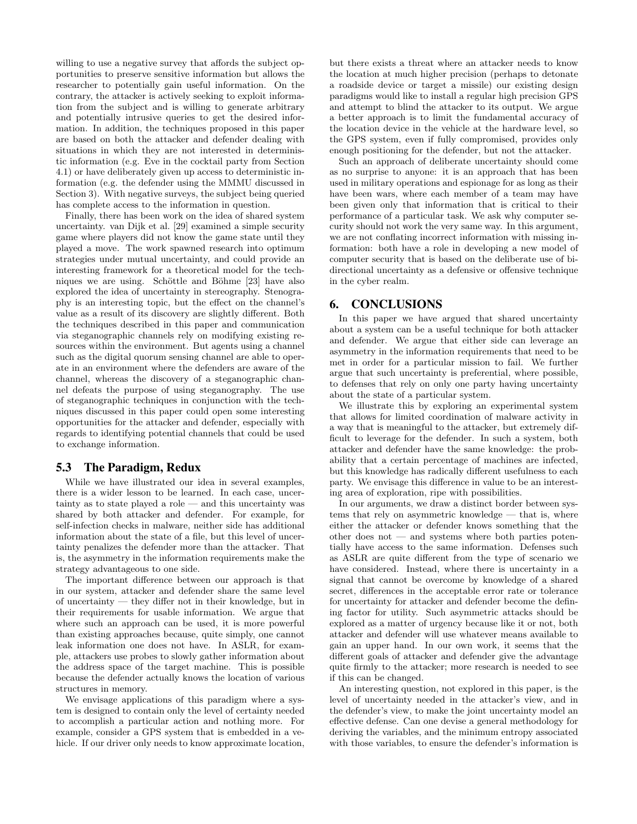willing to use a negative survey that affords the subject opportunities to preserve sensitive information but allows the researcher to potentially gain useful information. On the contrary, the attacker is actively seeking to exploit information from the subject and is willing to generate arbitrary and potentially intrusive queries to get the desired information. In addition, the techniques proposed in this paper are based on both the attacker and defender dealing with situations in which they are not interested in deterministic information (e.g. Eve in the cocktail party from Section 4.1) or have deliberately given up access to deterministic information (e.g. the defender using the MMMU discussed in Section 3). With negative surveys, the subject being queried has complete access to the information in question.

Finally, there has been work on the idea of shared system uncertainty. van Dijk et al. [29] examined a simple security game where players did not know the game state until they played a move. The work spawned research into optimum strategies under mutual uncertainty, and could provide an interesting framework for a theoretical model for the techniques we are using. Schöttle and Böhme [23] have also explored the idea of uncertainty in stereography. Stenography is an interesting topic, but the effect on the channel's value as a result of its discovery are slightly different. Both the techniques described in this paper and communication via steganographic channels rely on modifying existing resources within the environment. But agents using a channel such as the digital quorum sensing channel are able to operate in an environment where the defenders are aware of the channel, whereas the discovery of a steganographic channel defeats the purpose of using steganography. The use of steganographic techniques in conjunction with the techniques discussed in this paper could open some interesting opportunities for the attacker and defender, especially with regards to identifying potential channels that could be used to exchange information.

#### 5.3 The Paradigm, Redux

While we have illustrated our idea in several examples, there is a wider lesson to be learned. In each case, uncertainty as to state played a role — and this uncertainty was shared by both attacker and defender. For example, for self-infection checks in malware, neither side has additional information about the state of a file, but this level of uncertainty penalizes the defender more than the attacker. That is, the asymmetry in the information requirements make the strategy advantageous to one side.

The important difference between our approach is that in our system, attacker and defender share the same level of uncertainty — they differ not in their knowledge, but in their requirements for usable information. We argue that where such an approach can be used, it is more powerful than existing approaches because, quite simply, one cannot leak information one does not have. In ASLR, for example, attackers use probes to slowly gather information about the address space of the target machine. This is possible because the defender actually knows the location of various structures in memory.

We envisage applications of this paradigm where a system is designed to contain only the level of certainty needed to accomplish a particular action and nothing more. For example, consider a GPS system that is embedded in a vehicle. If our driver only needs to know approximate location, but there exists a threat where an attacker needs to know the location at much higher precision (perhaps to detonate a roadside device or target a missile) our existing design paradigms would like to install a regular high precision GPS and attempt to blind the attacker to its output. We argue a better approach is to limit the fundamental accuracy of the location device in the vehicle at the hardware level, so the GPS system, even if fully compromised, provides only enough positioning for the defender, but not the attacker.

Such an approach of deliberate uncertainty should come as no surprise to anyone: it is an approach that has been used in military operations and espionage for as long as their have been wars, where each member of a team may have been given only that information that is critical to their performance of a particular task. We ask why computer security should not work the very same way. In this argument, we are not conflating incorrect information with missing information: both have a role in developing a new model of computer security that is based on the deliberate use of bidirectional uncertainty as a defensive or offensive technique in the cyber realm.

#### 6. CONCLUSIONS

In this paper we have argued that shared uncertainty about a system can be a useful technique for both attacker and defender. We argue that either side can leverage an asymmetry in the information requirements that need to be met in order for a particular mission to fail. We further argue that such uncertainty is preferential, where possible, to defenses that rely on only one party having uncertainty about the state of a particular system.

We illustrate this by exploring an experimental system that allows for limited coordination of malware activity in a way that is meaningful to the attacker, but extremely difficult to leverage for the defender. In such a system, both attacker and defender have the same knowledge: the probability that a certain percentage of machines are infected, but this knowledge has radically different usefulness to each party. We envisage this difference in value to be an interesting area of exploration, ripe with possibilities.

In our arguments, we draw a distinct border between systems that rely on asymmetric knowledge — that is, where either the attacker or defender knows something that the other does not — and systems where both parties potentially have access to the same information. Defenses such as ASLR are quite different from the type of scenario we have considered. Instead, where there is uncertainty in a signal that cannot be overcome by knowledge of a shared secret, differences in the acceptable error rate or tolerance for uncertainty for attacker and defender become the defining factor for utility. Such asymmetric attacks should be explored as a matter of urgency because like it or not, both attacker and defender will use whatever means available to gain an upper hand. In our own work, it seems that the different goals of attacker and defender give the advantage quite firmly to the attacker; more research is needed to see if this can be changed.

An interesting question, not explored in this paper, is the level of uncertainty needed in the attacker's view, and in the defender's view, to make the joint uncertainty model an effective defense. Can one devise a general methodology for deriving the variables, and the minimum entropy associated with those variables, to ensure the defender's information is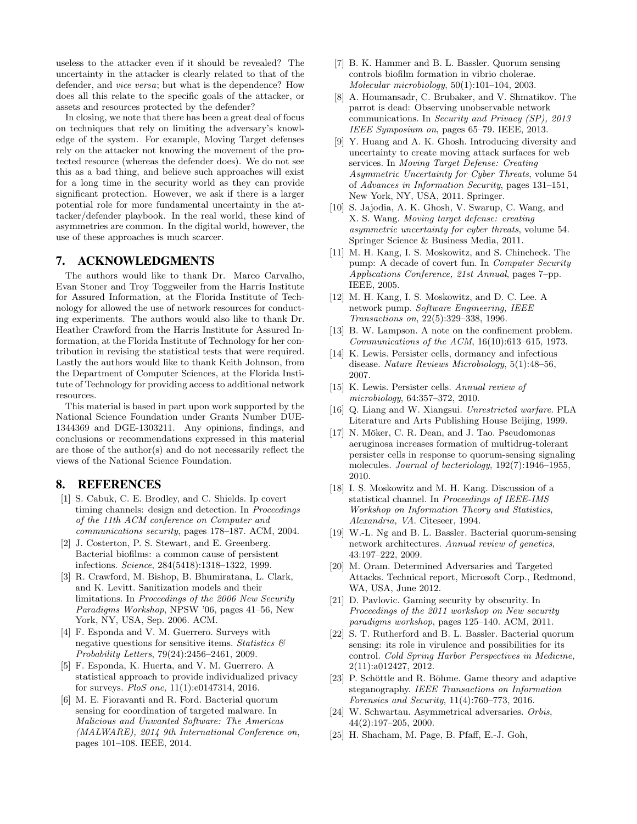useless to the attacker even if it should be revealed? The uncertainty in the attacker is clearly related to that of the defender, and vice versa; but what is the dependence? How does all this relate to the specific goals of the attacker, or assets and resources protected by the defender?

In closing, we note that there has been a great deal of focus on techniques that rely on limiting the adversary's knowledge of the system. For example, Moving Target defenses rely on the attacker not knowing the movement of the protected resource (whereas the defender does). We do not see this as a bad thing, and believe such approaches will exist for a long time in the security world as they can provide significant protection. However, we ask if there is a larger potential role for more fundamental uncertainty in the attacker/defender playbook. In the real world, these kind of asymmetries are common. In the digital world, however, the use of these approaches is much scarcer.

#### 7. ACKNOWLEDGMENTS

The authors would like to thank Dr. Marco Carvalho, Evan Stoner and Troy Toggweiler from the Harris Institute for Assured Information, at the Florida Institute of Technology for allowed the use of network resources for conducting experiments. The authors would also like to thank Dr. Heather Crawford from the Harris Institute for Assured Information, at the Florida Institute of Technology for her contribution in revising the statistical tests that were required. Lastly the authors would like to thank Keith Johnson, from the Department of Computer Sciences, at the Florida Institute of Technology for providing access to additional network resources.

This material is based in part upon work supported by the National Science Foundation under Grants Number DUE-1344369 and DGE-1303211. Any opinions, findings, and conclusions or recommendations expressed in this material are those of the author(s) and do not necessarily reflect the views of the National Science Foundation.

#### 8. REFERENCES

- [1] S. Cabuk, C. E. Brodley, and C. Shields. Ip covert timing channels: design and detection. In Proceedings of the 11th ACM conference on Computer and communications security, pages 178–187. ACM, 2004.
- [2] J. Costerton, P. S. Stewart, and E. Greenberg. Bacterial biofilms: a common cause of persistent infections. Science, 284(5418):1318–1322, 1999.
- [3] R. Crawford, M. Bishop, B. Bhumiratana, L. Clark, and K. Levitt. Sanitization models and their limitations. In Proceedings of the 2006 New Security Paradigms Workshop, NPSW '06, pages 41–56, New York, NY, USA, Sep. 2006. ACM.
- [4] F. Esponda and V. M. Guerrero. Surveys with negative questions for sensitive items. Statistics  $\mathcal{B}$ Probability Letters, 79(24):2456–2461, 2009.
- [5] F. Esponda, K. Huerta, and V. M. Guerrero. A statistical approach to provide individualized privacy for surveys. PloS one, 11(1):e0147314, 2016.
- [6] M. E. Fioravanti and R. Ford. Bacterial quorum sensing for coordination of targeted malware. In Malicious and Unwanted Software: The Americas (MALWARE), 2014 9th International Conference on, pages 101–108. IEEE, 2014.
- [7] B. K. Hammer and B. L. Bassler. Quorum sensing controls biofilm formation in vibrio cholerae. Molecular microbiology, 50(1):101–104, 2003.
- [8] A. Houmansadr, C. Brubaker, and V. Shmatikov. The parrot is dead: Observing unobservable network communications. In Security and Privacy (SP), 2013 IEEE Symposium on, pages 65–79. IEEE, 2013.
- [9] Y. Huang and A. K. Ghosh. Introducing diversity and uncertainty to create moving attack surfaces for web services. In Moving Target Defense: Creating Asymmetric Uncertainty for Cyber Threats, volume 54 of Advances in Information Security, pages 131–151, New York, NY, USA, 2011. Springer.
- [10] S. Jajodia, A. K. Ghosh, V. Swarup, C. Wang, and X. S. Wang. Moving target defense: creating asymmetric uncertainty for cyber threats, volume 54. Springer Science & Business Media, 2011.
- [11] M. H. Kang, I. S. Moskowitz, and S. Chincheck. The pump: A decade of covert fun. In Computer Security Applications Conference, 21st Annual, pages 7–pp. IEEE, 2005.
- [12] M. H. Kang, I. S. Moskowitz, and D. C. Lee. A network pump. Software Engineering, IEEE Transactions on, 22(5):329–338, 1996.
- [13] B. W. Lampson. A note on the confinement problem. Communications of the ACM, 16(10):613–615, 1973.
- [14] K. Lewis. Persister cells, dormancy and infectious disease. Nature Reviews Microbiology, 5(1):48–56, 2007.
- [15] K. Lewis. Persister cells. Annual review of microbiology, 64:357–372, 2010.
- [16] Q. Liang and W. Xiangsui. Unrestricted warfare. PLA Literature and Arts Publishing House Beijing, 1999.
- [17] N. Möker, C. R. Dean, and J. Tao. Pseudomonas aeruginosa increases formation of multidrug-tolerant persister cells in response to quorum-sensing signaling molecules. Journal of bacteriology, 192(7):1946–1955, 2010.
- [18] I. S. Moskowitz and M. H. Kang. Discussion of a statistical channel. In Proceedings of IEEE-IMS Workshop on Information Theory and Statistics, Alexandria, VA. Citeseer, 1994.
- [19] W.-L. Ng and B. L. Bassler. Bacterial quorum-sensing network architectures. Annual review of genetics, 43:197–222, 2009.
- [20] M. Oram. Determined Adversaries and Targeted Attacks. Technical report, Microsoft Corp., Redmond, WA, USA, June 2012.
- [21] D. Pavlovic. Gaming security by obscurity. In Proceedings of the 2011 workshop on New security paradigms workshop, pages 125–140. ACM, 2011.
- [22] S. T. Rutherford and B. L. Bassler. Bacterial quorum sensing: its role in virulence and possibilities for its control. Cold Spring Harbor Perspectives in Medicine, 2(11):a012427, 2012.
- [23] P. Schöttle and R. Böhme. Game theory and adaptive steganography. IEEE Transactions on Information Forensics and Security, 11(4):760–773, 2016.
- [24] W. Schwartau. Asymmetrical adversaries. Orbis, 44(2):197–205, 2000.
- [25] H. Shacham, M. Page, B. Pfaff, E.-J. Goh,